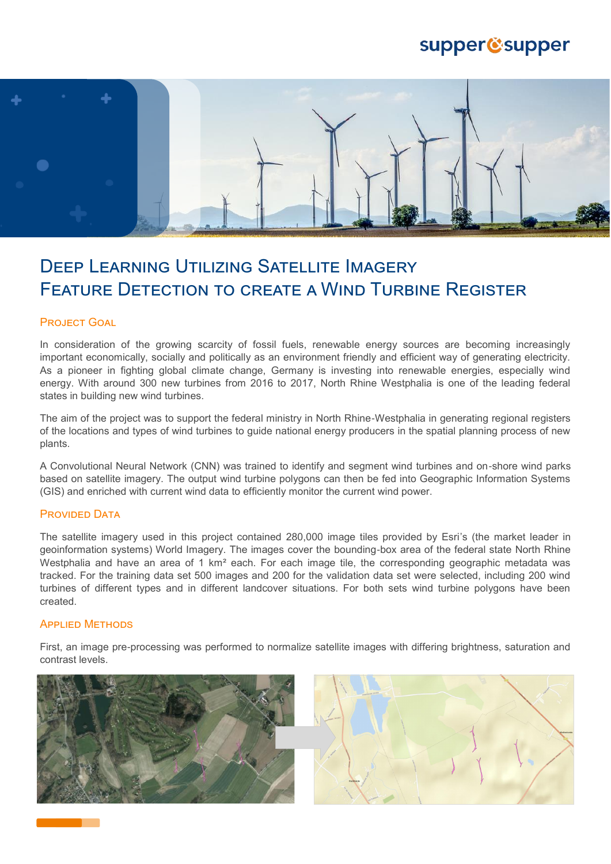## supper@supper



# Deep Learning Utilizing Satellite Imagery FEATURE DETECTION TO CREATE A WIND TURBINE REGISTER

### PROJECT GOAL

In consideration of the growing scarcity of fossil fuels, renewable energy sources are becoming increasingly important economically, socially and politically as an environment friendly and efficient way of generating electricity. As a pioneer in fighting global climate change, Germany is investing into renewable energies, especially wind energy. With around 300 new turbines from 2016 to 2017, North Rhine Westphalia is one of the leading federal states in building new wind turbines.

The aim of the project was to support the federal ministry in North Rhine-Westphalia in generating regional registers of the locations and types of wind turbines to guide national energy producers in the spatial planning process of new plants.

A Convolutional Neural Network (CNN) was trained to identify and segment wind turbines and on-shore wind parks based on satellite imagery. The output wind turbine polygons can then be fed into Geographic Information Systems (GIS) and enriched with current wind data to efficiently monitor the current wind power.

### **PROVIDED DATA**

The satellite imagery used in this project contained 280,000 image tiles provided by Esri's (the market leader in geoinformation systems) World Imagery. The images cover the bounding-box area of the federal state North Rhine Westphalia and have an area of 1 km<sup>2</sup> each. For each image tile, the corresponding geographic metadata was tracked. For the training data set 500 images and 200 for the validation data set were selected, including 200 wind turbines of different types and in different landcover situations. For both sets wind turbine polygons have been created.

### Applied Methods

First, an image pre-processing was performed to normalize satellite images with differing brightness, saturation and contrast levels.